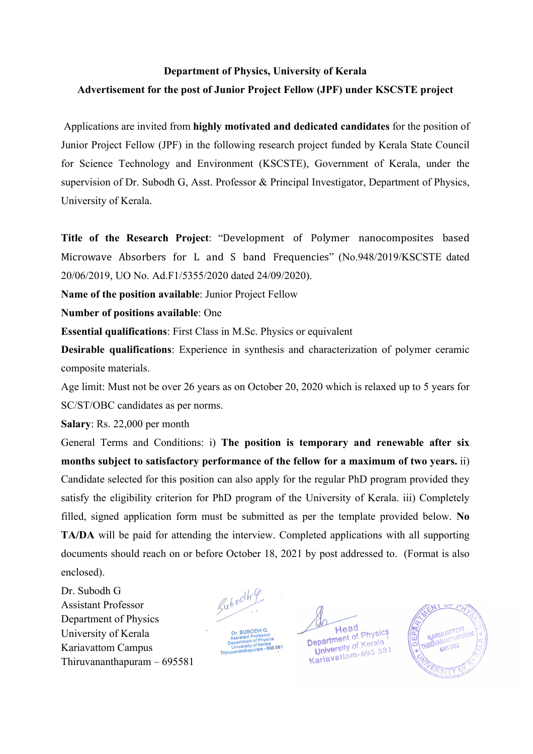# **Department of Physics, University of Kerala Advertisement for the post of Junior Project Fellow (JPF) under KSCSTE project**

Applications are invited from **highly motivated and dedicated candidates** for the position of Junior Project Fellow (JPF) in the following research project funded by Kerala State Council for Science Technology and Environment (KSCSTE), Government of Kerala, under the supervision of Dr. Subodh G, Asst. Professor & Principal Investigator, Department of Physics, University of Kerala.

**Title of the Research Project: "Development of Polymer nanocomposites based** Microwave Absorbers for L and S band Frequencies" (No.948/2019/KSCSTE dated 20/06/2019, UO No. Ad.F1/5355/2020 dated 24/09/2020).

**Name of the position available**: Junior Project Fellow

**Number of positions available**: One

**Essential qualifications**: First Class in M.Sc. Physics or equivalent

**Desirable qualifications**: Experience in synthesis and characterization of polymer ceramic composite materials.

Age limit: Must not be over 26 years as on October 20, 2020 which is relaxed up to 5 years for SC/ST/OBC candidates as per norms.

**Salary**: Rs. 22,000 per month

General Terms and Conditions: i) **The position is temporary and renewable after six months subject to satisfactory performance of the fellow for a maximum of two years.** ii) Candidate selected for this position can also apply for the regular PhD program provided they satisfy the eligibility criterion for PhD program of the University of Kerala. iii) Completely filled, signed application form must be submitted as per the template provided below. **No TA/DA** will be paid for attending the interview. Completed applications with all supporting documents should reach on or before October 18, 2021 by post addressed to. (Format is also enclosed).

Dr. Subodh G Assistant Professor Department of Physics University of Kerala Kariavattom Campus Thiruvananthapuram – 695581

Lubocihi 9 Dr. SUBODH G

Head Head<br> **Department** of Physics epartment of Private<br>University of Kerala **University of Kerald**<br>Karlavattom-695 581